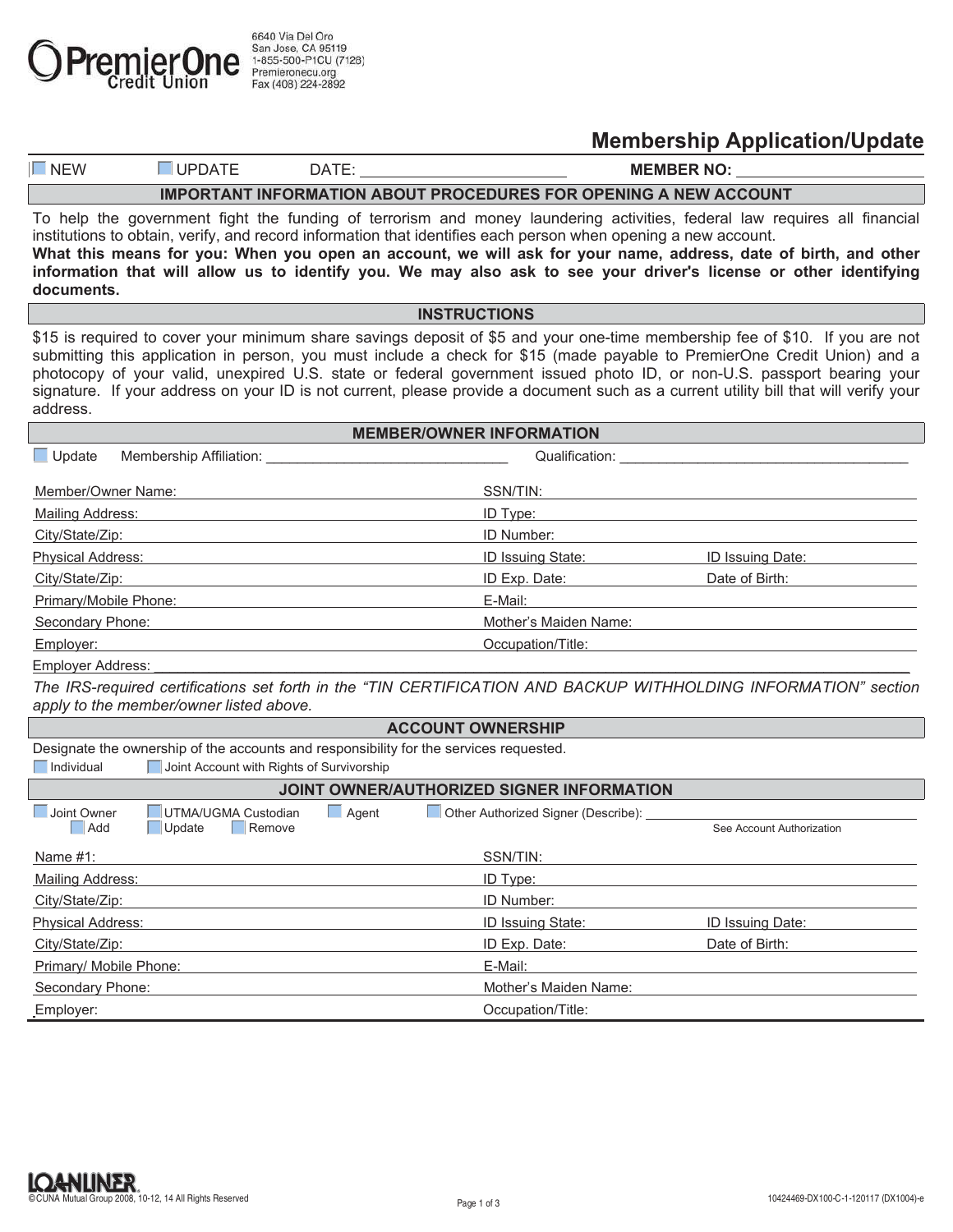

**Membership Application/Update**

| $\sim$<br><b>NE</b><br><b>VV</b> | ⊣∪ب | ב ו | .<br>MI<br>NĽ |
|----------------------------------|-----|-----|---------------|
|                                  |     |     |               |

**IMPORTANT INFORMATION ABOUT PROCEDURES FOR OPENING A NEW ACCOUNT** 

To help the government fight the funding of terrorism and money laundering activities, federal law requires all financial institutions to obtain, verify, and record information that identifies each person when opening a new account. **What this means for you: When you open an account, we will ask for your name, address, date of birth, and other information that will allow us to identify you. We may also ask to see your driver's license or other identifying documents.**

## **INSTRUCTIONS**

\$15 is required to cover your minimum share savings deposit of \$5 and your one-time membership fee of \$10. If you are not submitting this application in person, you must include a check for \$15 (made payable to PremierOne Credit Union) and a photocopy of your valid, unexpired U.S. state or federal government issued photo ID, or non-U.S. passport bearing your signature. If your address on your ID is not current, please provide a document such as a current utility bill that will verify your address.

| <b>MEMBER/OWNER INFORMATION</b>                 |                                                     |  |  |  |  |
|-------------------------------------------------|-----------------------------------------------------|--|--|--|--|
| $\Box$ Update<br><b>Membership Affiliation:</b> | Qualification:                                      |  |  |  |  |
| Member/Owner Name:                              | SSN/TIN:                                            |  |  |  |  |
| Mailing Address:                                | ID Type:                                            |  |  |  |  |
| City/State/Zip:                                 | ID Number:                                          |  |  |  |  |
| <b>Physical Address:</b>                        | <b>ID Issuing State:</b><br><b>ID Issuing Date:</b> |  |  |  |  |
| City/State/Zip:                                 | Date of Birth:<br>ID Exp. Date:                     |  |  |  |  |
| Primary/Mobile Phone:                           | E-Mail:                                             |  |  |  |  |
| Secondary Phone:                                | Mother's Maiden Name:                               |  |  |  |  |
| Employer:                                       | Occupation/Title:                                   |  |  |  |  |

Employer Address:

*The IRS-required certifications set forth in the "TIN CERTIFICATION AND BACKUP WITHHOLDING INFORMATION" section apply to the member/owner listed above.* 

| <b>ACCOUNT OWNERSHIP</b>                                                               |                                           |                          |                                     |                           |  |  |
|----------------------------------------------------------------------------------------|-------------------------------------------|--------------------------|-------------------------------------|---------------------------|--|--|
| Designate the ownership of the accounts and responsibility for the services requested. |                                           |                          |                                     |                           |  |  |
| $\Box$ Individual                                                                      | Joint Account with Rights of Survivorship |                          |                                     |                           |  |  |
| JOINT OWNER/AUTHORIZED SIGNER INFORMATION                                              |                                           |                          |                                     |                           |  |  |
| Joint Owner                                                                            | <b>UTMA/UGMA Custodian</b>                | $\Box$ Agent             | Other Authorized Signer (Describe): |                           |  |  |
| Add                                                                                    | Remove<br>Update                          |                          |                                     | See Account Authorization |  |  |
| Name $#1$ :                                                                            |                                           |                          | SSN/TIN:                            |                           |  |  |
| Mailing Address:                                                                       |                                           | ID Type:                 |                                     |                           |  |  |
| City/State/Zip:                                                                        |                                           | ID Number:               |                                     |                           |  |  |
| <b>Physical Address:</b>                                                               |                                           | <b>ID Issuing State:</b> | <b>ID Issuing Date:</b>             |                           |  |  |
| City/State/Zip:                                                                        |                                           | ID Exp. Date:            | Date of Birth:                      |                           |  |  |
| Primary/ Mobile Phone:                                                                 |                                           | E-Mail:                  |                                     |                           |  |  |
| Secondary Phone:                                                                       |                                           | Mother's Maiden Name:    |                                     |                           |  |  |
| Employer:                                                                              |                                           | Occupation/Title:        |                                     |                           |  |  |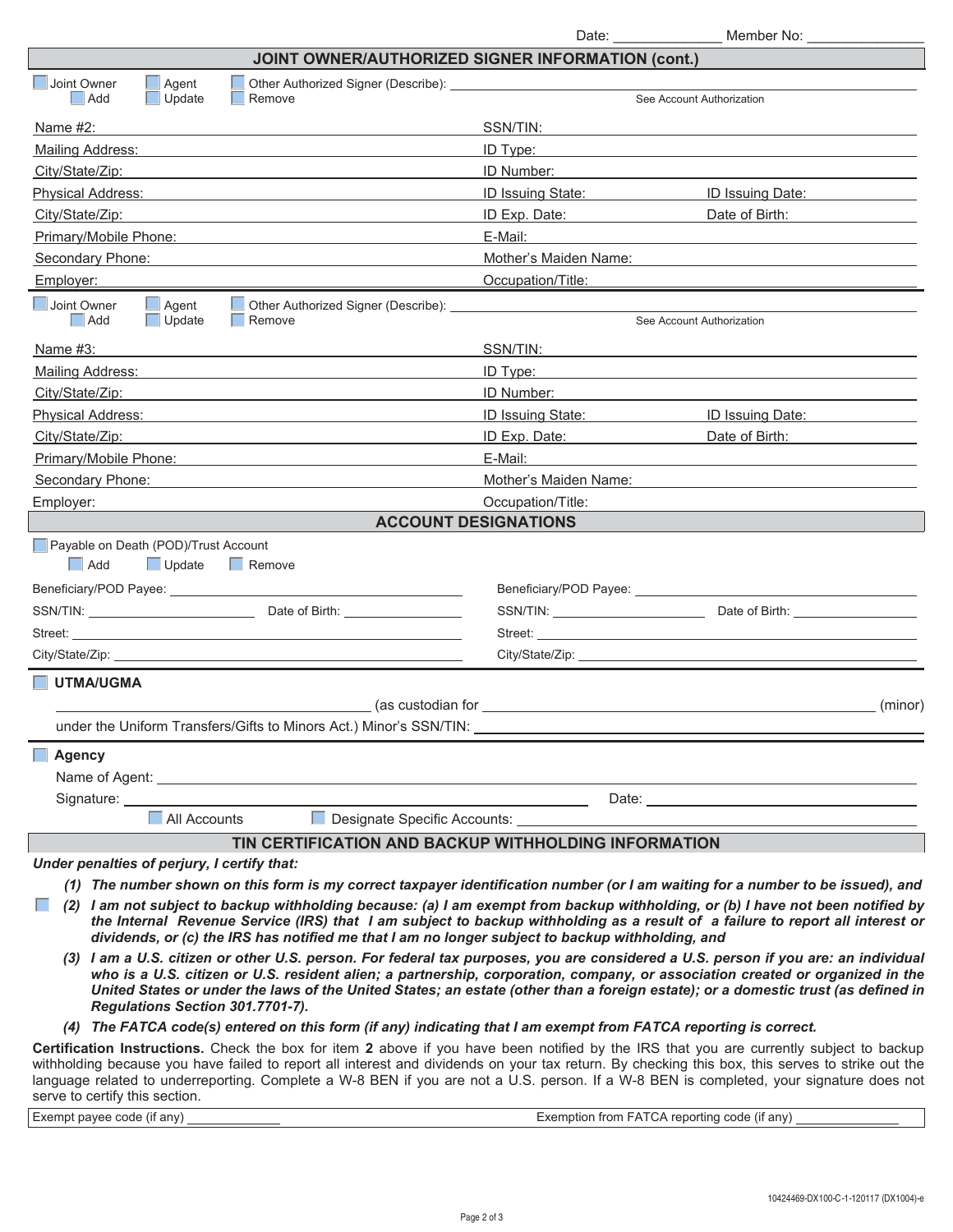|                                                                                                                                                                                                                                                                                                                                                                                                                                                                           | Date: $\sqrt{\frac{2}{1-\frac{1}{2}}$                                                                                                                                                                                                                                                                                                                                                                                                                                                                                                                                                                                                                       | Member No: __                 |  |  |  |  |
|---------------------------------------------------------------------------------------------------------------------------------------------------------------------------------------------------------------------------------------------------------------------------------------------------------------------------------------------------------------------------------------------------------------------------------------------------------------------------|-------------------------------------------------------------------------------------------------------------------------------------------------------------------------------------------------------------------------------------------------------------------------------------------------------------------------------------------------------------------------------------------------------------------------------------------------------------------------------------------------------------------------------------------------------------------------------------------------------------------------------------------------------------|-------------------------------|--|--|--|--|
| <b>JOINT OWNER/AUTHORIZED SIGNER INFORMATION (cont.)</b>                                                                                                                                                                                                                                                                                                                                                                                                                  |                                                                                                                                                                                                                                                                                                                                                                                                                                                                                                                                                                                                                                                             |                               |  |  |  |  |
| Joint Owner<br>Agent                                                                                                                                                                                                                                                                                                                                                                                                                                                      |                                                                                                                                                                                                                                                                                                                                                                                                                                                                                                                                                                                                                                                             |                               |  |  |  |  |
| Add<br>Update<br>Remove                                                                                                                                                                                                                                                                                                                                                                                                                                                   |                                                                                                                                                                                                                                                                                                                                                                                                                                                                                                                                                                                                                                                             | See Account Authorization     |  |  |  |  |
| Name $#2$ :                                                                                                                                                                                                                                                                                                                                                                                                                                                               | SSN/TIN:                                                                                                                                                                                                                                                                                                                                                                                                                                                                                                                                                                                                                                                    |                               |  |  |  |  |
| Mailing Address:                                                                                                                                                                                                                                                                                                                                                                                                                                                          | ID Type:                                                                                                                                                                                                                                                                                                                                                                                                                                                                                                                                                                                                                                                    |                               |  |  |  |  |
| City/State/Zip:                                                                                                                                                                                                                                                                                                                                                                                                                                                           | ID Number:                                                                                                                                                                                                                                                                                                                                                                                                                                                                                                                                                                                                                                                  |                               |  |  |  |  |
| Physical Address:                                                                                                                                                                                                                                                                                                                                                                                                                                                         | ID Issuing State:                                                                                                                                                                                                                                                                                                                                                                                                                                                                                                                                                                                                                                           | ID Issuing Date:              |  |  |  |  |
| City/State/Zip:                                                                                                                                                                                                                                                                                                                                                                                                                                                           | ID Exp. Date:                                                                                                                                                                                                                                                                                                                                                                                                                                                                                                                                                                                                                                               | Date of Birth:                |  |  |  |  |
| Primary/Mobile Phone:                                                                                                                                                                                                                                                                                                                                                                                                                                                     | E-Mail:                                                                                                                                                                                                                                                                                                                                                                                                                                                                                                                                                                                                                                                     |                               |  |  |  |  |
| Secondary Phone:                                                                                                                                                                                                                                                                                                                                                                                                                                                          | Mother's Maiden Name:                                                                                                                                                                                                                                                                                                                                                                                                                                                                                                                                                                                                                                       |                               |  |  |  |  |
| Employer:                                                                                                                                                                                                                                                                                                                                                                                                                                                                 | Occupation/Title:                                                                                                                                                                                                                                                                                                                                                                                                                                                                                                                                                                                                                                           |                               |  |  |  |  |
| Joint Owner<br>$\Box$ Agent<br>Other Authorized Signer (Describe):<br>  Add<br>Update<br>  Remove                                                                                                                                                                                                                                                                                                                                                                         |                                                                                                                                                                                                                                                                                                                                                                                                                                                                                                                                                                                                                                                             | See Account Authorization     |  |  |  |  |
|                                                                                                                                                                                                                                                                                                                                                                                                                                                                           |                                                                                                                                                                                                                                                                                                                                                                                                                                                                                                                                                                                                                                                             |                               |  |  |  |  |
| Name #3:                                                                                                                                                                                                                                                                                                                                                                                                                                                                  | SSN/TIN:                                                                                                                                                                                                                                                                                                                                                                                                                                                                                                                                                                                                                                                    |                               |  |  |  |  |
| Mailing Address:                                                                                                                                                                                                                                                                                                                                                                                                                                                          | ID Type:                                                                                                                                                                                                                                                                                                                                                                                                                                                                                                                                                                                                                                                    |                               |  |  |  |  |
| City/State/Zip:                                                                                                                                                                                                                                                                                                                                                                                                                                                           | ID Number:                                                                                                                                                                                                                                                                                                                                                                                                                                                                                                                                                                                                                                                  |                               |  |  |  |  |
| Physical Address:                                                                                                                                                                                                                                                                                                                                                                                                                                                         | ID Issuing State:                                                                                                                                                                                                                                                                                                                                                                                                                                                                                                                                                                                                                                           | ID Issuing Date:              |  |  |  |  |
| City/State/Zip:                                                                                                                                                                                                                                                                                                                                                                                                                                                           | ID Exp. Date:                                                                                                                                                                                                                                                                                                                                                                                                                                                                                                                                                                                                                                               | Date of Birth: Date of Birth: |  |  |  |  |
| Primary/Mobile Phone:                                                                                                                                                                                                                                                                                                                                                                                                                                                     | E-Mail:                                                                                                                                                                                                                                                                                                                                                                                                                                                                                                                                                                                                                                                     |                               |  |  |  |  |
| Secondary Phone:                                                                                                                                                                                                                                                                                                                                                                                                                                                          | Mother's Maiden Name:                                                                                                                                                                                                                                                                                                                                                                                                                                                                                                                                                                                                                                       |                               |  |  |  |  |
| Employer:                                                                                                                                                                                                                                                                                                                                                                                                                                                                 | Occupation/Title:                                                                                                                                                                                                                                                                                                                                                                                                                                                                                                                                                                                                                                           |                               |  |  |  |  |
| <b>ACCOUNT DESIGNATIONS</b>                                                                                                                                                                                                                                                                                                                                                                                                                                               |                                                                                                                                                                                                                                                                                                                                                                                                                                                                                                                                                                                                                                                             |                               |  |  |  |  |
| $\Box$ Add<br>$\Box$ Update<br>$\Box$ Remove                                                                                                                                                                                                                                                                                                                                                                                                                              | $SSN/TIN: \underline{\hspace{2cm} \rule{2cm}{2.5cm} \qquad \hspace{2cm} \rule{2cm}{2.5cm} \qquad \hspace{2cm} \rule{2cm}{2.5cm} \qquad \hspace{2cm} \rule{2cm}{2.5cm} \qquad \hspace{2cm} \rule{2cm}{2.5cm} \qquad \hspace{2cm} \rule{2cm}{2.5cm} \qquad \hspace{2cm} \rule{2cm}{2.5cm} \qquad \hspace{2cm} \rule{2cm}{2.5cm} \qquad \hspace{2cm} \rule{2cm}{2.5cm} \qquad \hspace{2cm} \rule{2cm}{2.5cm} \qquad \hspace$<br>Street: the contract of the contract of the contract of the contract of the contract of the contract of the contract of the contract of the contract of the contract of the contract of the contract of the contract of the co |                               |  |  |  |  |
|                                                                                                                                                                                                                                                                                                                                                                                                                                                                           |                                                                                                                                                                                                                                                                                                                                                                                                                                                                                                                                                                                                                                                             |                               |  |  |  |  |
| UTMA/UGMA                                                                                                                                                                                                                                                                                                                                                                                                                                                                 | (as custodian for example of the state of the state of the state of the state of the state of the state of the                                                                                                                                                                                                                                                                                                                                                                                                                                                                                                                                              | (minor)                       |  |  |  |  |
| under the Uniform Transfers/Gifts to Minors Act.) Minor's SSN/TIN:                                                                                                                                                                                                                                                                                                                                                                                                        |                                                                                                                                                                                                                                                                                                                                                                                                                                                                                                                                                                                                                                                             |                               |  |  |  |  |
| Agency                                                                                                                                                                                                                                                                                                                                                                                                                                                                    |                                                                                                                                                                                                                                                                                                                                                                                                                                                                                                                                                                                                                                                             |                               |  |  |  |  |
| Name of Agent: 1999 Contract Contract Contract Contract Contract Contract Contract Contract Contract Contract Contract Contract Contract Contract Contract Contract Contract Contract Contract Contract Contract Contract Cont                                                                                                                                                                                                                                            |                                                                                                                                                                                                                                                                                                                                                                                                                                                                                                                                                                                                                                                             |                               |  |  |  |  |
|                                                                                                                                                                                                                                                                                                                                                                                                                                                                           |                                                                                                                                                                                                                                                                                                                                                                                                                                                                                                                                                                                                                                                             |                               |  |  |  |  |
| $\blacksquare$ All Accounts                                                                                                                                                                                                                                                                                                                                                                                                                                               |                                                                                                                                                                                                                                                                                                                                                                                                                                                                                                                                                                                                                                                             |                               |  |  |  |  |
| TIN CERTIFICATION AND BACKUP WITHHOLDING INFORMATION                                                                                                                                                                                                                                                                                                                                                                                                                      |                                                                                                                                                                                                                                                                                                                                                                                                                                                                                                                                                                                                                                                             |                               |  |  |  |  |
| Under penalties of perjury, I certify that:                                                                                                                                                                                                                                                                                                                                                                                                                               |                                                                                                                                                                                                                                                                                                                                                                                                                                                                                                                                                                                                                                                             |                               |  |  |  |  |
| (1) The number shown on this form is my correct taxpayer identification number (or I am waiting for a number to be issued), and                                                                                                                                                                                                                                                                                                                                           |                                                                                                                                                                                                                                                                                                                                                                                                                                                                                                                                                                                                                                                             |                               |  |  |  |  |
| (2) I am not subject to backup withholding because: (a) I am exempt from backup withholding, or (b) I have not been notified by<br>the Internal Revenue Service (IRS) that I am subject to backup withholding as a result of a failure to report all interest or<br>dividends, or (c) the IRS has notified me that I am no longer subject to backup withholding, and                                                                                                      |                                                                                                                                                                                                                                                                                                                                                                                                                                                                                                                                                                                                                                                             |                               |  |  |  |  |
| (3) I am a U.S. citizen or other U.S. person. For federal tax purposes, you are considered a U.S. person if you are: an individual<br>who is a U.S. citizen or U.S. resident alien; a partnership, corporation, company, or association created or organized in the<br>United States or under the laws of the United States; an estate (other than a foreign estate); or a domestic trust (as defined in<br>Regulations Section 301.7701-7).                              |                                                                                                                                                                                                                                                                                                                                                                                                                                                                                                                                                                                                                                                             |                               |  |  |  |  |
| (4) The FATCA code(s) entered on this form (if any) indicating that I am exempt from FATCA reporting is correct.                                                                                                                                                                                                                                                                                                                                                          |                                                                                                                                                                                                                                                                                                                                                                                                                                                                                                                                                                                                                                                             |                               |  |  |  |  |
| Certification Instructions. Check the box for item 2 above if you have been notified by the IRS that you are currently subject to backup<br>withholding because you have failed to report all interest and dividends on your tax return. By checking this box, this serves to strike out the<br>language related to underreporting. Complete a W-8 BEN if you are not a U.S. person. If a W-8 BEN is completed, your signature does not<br>serve to certify this section. |                                                                                                                                                                                                                                                                                                                                                                                                                                                                                                                                                                                                                                                             |                               |  |  |  |  |

Exempt payee code (if any) Exemption from FATCA reporting code (if any)